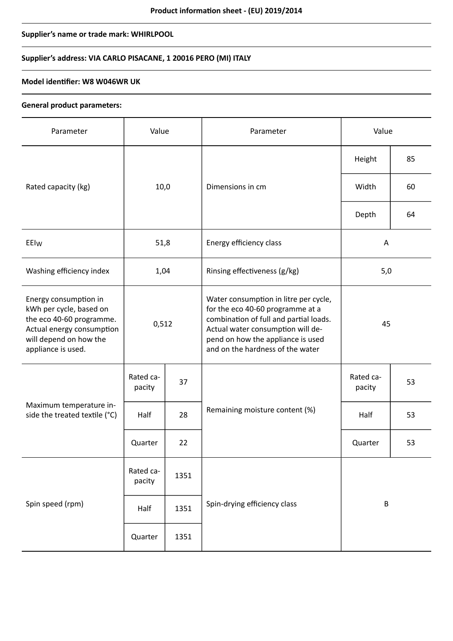# **Supplier's name or trade mark: WHIRLPOOL**

# **Supplier's address: VIA CARLO PISACANE, 1 20016 PERO (MI) ITALY**

### **Model identifier: W8 W046WR UK**

### **General product parameters:**

| Parameter                                                                                                                                                 | Value               |      | Parameter                                                                                                                                                                                                                         | Value               |    |
|-----------------------------------------------------------------------------------------------------------------------------------------------------------|---------------------|------|-----------------------------------------------------------------------------------------------------------------------------------------------------------------------------------------------------------------------------------|---------------------|----|
|                                                                                                                                                           | 10,0                |      | Dimensions in cm                                                                                                                                                                                                                  | Height              | 85 |
| Rated capacity (kg)                                                                                                                                       |                     |      |                                                                                                                                                                                                                                   | Width               | 60 |
|                                                                                                                                                           |                     |      |                                                                                                                                                                                                                                   | Depth               | 64 |
| EEIw                                                                                                                                                      | 51,8                |      | Energy efficiency class                                                                                                                                                                                                           | Α                   |    |
| Washing efficiency index                                                                                                                                  | 1,04                |      | Rinsing effectiveness (g/kg)                                                                                                                                                                                                      | 5,0                 |    |
| Energy consumption in<br>kWh per cycle, based on<br>the eco 40-60 programme.<br>Actual energy consumption<br>will depend on how the<br>appliance is used. | 0,512               |      | Water consumption in litre per cycle,<br>for the eco 40-60 programme at a<br>combination of full and partial loads.<br>Actual water consumption will de-<br>pend on how the appliance is used<br>and on the hardness of the water | 45                  |    |
| Maximum temperature in-<br>side the treated textile (°C)                                                                                                  | Rated ca-<br>pacity | 37   | Remaining moisture content (%)                                                                                                                                                                                                    | Rated ca-<br>pacity | 53 |
|                                                                                                                                                           | Half                | 28   |                                                                                                                                                                                                                                   | Half                | 53 |
|                                                                                                                                                           | Quarter             | 22   |                                                                                                                                                                                                                                   | Quarter             | 53 |
| Spin speed (rpm)                                                                                                                                          | Rated ca-<br>pacity | 1351 | Spin-drying efficiency class                                                                                                                                                                                                      | $\sf B$             |    |
|                                                                                                                                                           | Half                | 1351 |                                                                                                                                                                                                                                   |                     |    |
|                                                                                                                                                           | Quarter             | 1351 |                                                                                                                                                                                                                                   |                     |    |